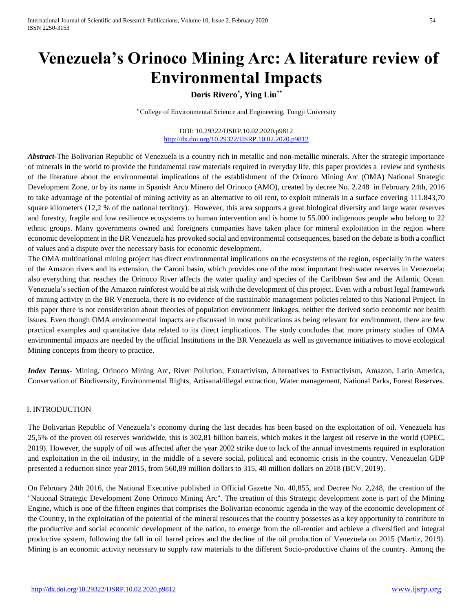# **Venezuela's Orinoco Mining Arc: A literature review of Environmental Impacts**

# **Doris Rivero\* , Ying Liu\*\***

\* College of Environmental Science and Engineering, Tongji University

DOI: 10.29322/IJSRP.10.02.2020.p9812 <http://dx.doi.org/10.29322/IJSRP.10.02.2020.p9812>

*Abstract-*The Bolivarian Republic of Venezuela is a country rich in metallic and non-metallic minerals. After the strategic importance of minerals in the world to provide the fundamental raw materials required in everyday life, this paper provides a review and synthesis of the literature about the environmental implications of the establishment of the Orinoco Mining Arc (OMA) National Strategic Development Zone, or by its name in Spanish Arco Minero del Orinoco (AMO), created by decree No. 2.248 in February 24th, 2016 to take advantage of the potential of mining activity as an alternative to oil rent, to exploit minerals in a surface covering 111.843,70 square kilometers (12,2 % of the national territory). However, this area supports a great biological diversity and large water reserves and forestry, fragile and low resilience ecosystems to human intervention and is home to 55.000 indigenous people who belong to 22 ethnic groups. Many governments owned and foreigners companies have taken place for mineral exploitation in the region where economic development in the BR Venezuela has provoked social and environmental consequences, based on the debate is both a conflict of values and a dispute over the necessary basis for economic development.

The OMA multinational mining project has direct environmental implications on the ecosystems of the region, especially in the waters of the Amazon rivers and its extension, the Caroni basin, which provides one of the most important freshwater reserves in Venezuela; also everything that reaches the Orinoco River affects the water quality and species of the Caribbean Sea and the Atlantic Ocean. Venezuela's section of the Amazon rainforest would be at risk with the development of this project. Even with a robust legal framework of mining activity in the BR Venezuela, there is no evidence of the sustainable management policies related to this National Project. In this paper there is not consideration about theories of population environment linkages, neither the derived socio economic nor health issues. Even though OMA environmental impacts are discussed in most publications as being relevant for environment, there are few practical examples and quantitative data related to its direct implications. The study concludes that more primary studies of OMA environmental impacts are needed by the official Institutions in the BR Venezuela as well as governance initiatives to move ecological Mining concepts from theory to practice.

*Index Terms*- Mining, Orinoco Mining Arc, River Pollution, Extractivism, Alternatives to Extractivism, Amazon, Latin America, Conservation of Biodiversity, Environmental Rights, Artisanal/illegal extraction, Water management, National Parks, Forest Reserves.

#### I. INTRODUCTION

The Bolivarian Republic of Venezuela's economy during the last decades has been based on the exploitation of oil. Venezuela has 25,5% of the proven oil reserves worldwide, this is 302,81 billion barrels, which makes it the largest oil reserve in the world (OPEC, 2019). However, the supply of oil was affected after the year 2002 strike due to lack of the annual investments required in exploration and exploitation in the oil industry, in the middle of a severe social, political and economic crisis in the country. Venezuelan GDP presented a reduction since year 2015, from 560,89 million dollars to 315, 40 million dollars on 2018 (BCV, 2019).

On February 24th 2016, the National Executive published in Official Gazette No. 40,855, and Decree No. 2,248, the creation of the "National Strategic Development Zone Orinoco Mining Arc". The creation of this Strategic development zone is part of the Mining Engine, which is one of the fifteen engines that comprises the Bolivarian economic agenda in the way of the economic development of the Country, in the exploitation of the potential of the mineral resources that the country possesses as a key opportunity to contribute to the productive and social economic development of the nation, to emerge from the oil-rentier and achieve a diversified and integral productive system, following the fall in oil barrel prices and the decline of the oil production of Venezuela on 2015 (Martiz, 2019). Mining is an economic activity necessary to supply raw materials to the different Socio-productive chains of the country. Among the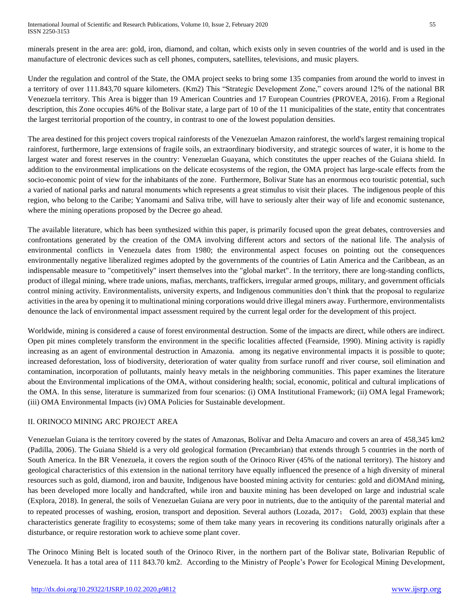minerals present in the area are: gold, iron, diamond, and coltan, which exists only in seven countries of the world and is used in the manufacture of electronic devices such as cell phones, computers, satellites, televisions, and music players.

Under the regulation and control of the State, the OMA project seeks to bring some 135 companies from around the world to invest in a territory of over 111.843,70 square kilometers. (Km2) This "Strategic Development Zone," covers around 12% of the national BR Venezuela territory. This Area is bigger than 19 American Countries and 17 European Countries (PROVEA, 2016). From a Regional description, this Zone occupies 46% of the Bolivar state, a large part of 10 of the 11 municipalities of the state, entity that concentrates the largest territorial proportion of the country, in contrast to one of the lowest population densities.

The area destined for this project covers tropical rainforests of the Venezuelan Amazon rainforest, the world's largest remaining tropical rainforest, furthermore, large extensions of fragile soils, an extraordinary biodiversity, and strategic sources of water, it is home to the largest water and forest reserves in the country: Venezuelan Guayana, which constitutes the upper reaches of the Guiana shield. In addition to the environmental implications on the delicate ecosystems of the region, the OMA project has large-scale effects from the socio-economic point of view for the inhabitants of the zone. Furthermore, Bolivar State has an enormous eco touristic potential, such a varied of national parks and natural monuments which represents a great stimulus to visit their places. The indigenous people of this region, who belong to the Caribe; Yanomami and Saliva tribe, will have to seriously alter their way of life and economic sustenance, where the mining operations proposed by the Decree go ahead.

The available literature, which has been synthesized within this paper, is primarily focused upon the great debates, controversies and confrontations generated by the creation of the OMA involving different actors and sectors of the national life. The analysis of environmental conflicts in Venezuela dates from 1980; the environmental aspect focuses on pointing out the consequences environmentally negative liberalized regimes adopted by the governments of the countries of Latin America and the Caribbean, as an indispensable measure to "competitively" insert themselves into the "global market". In the territory, there are long-standing conflicts, product of illegal mining, where trade unions, mafias, merchants, traffickers, irregular armed groups, military, and government officials control mining activity. Environmentalists, university experts, and Indigenous communities don't think that the proposal to regularize activities in the area by opening it to multinational mining corporations would drive illegal miners away. Furthermore, environmentalists denounce the lack of environmental impact assessment required by the current legal order for the development of this project.

Worldwide, mining is considered a cause of forest environmental destruction. Some of the impacts are direct, while others are indirect. Open pit mines completely transform the environment in the specific localities affected (Fearnside, 1990). Mining activity is rapidly increasing as an agent of environmental destruction in Amazonia. among its negative environmental impacts it is possible to quote; increased deforestation, loss of biodiversity, deterioration of water quality from surface runoff and river course, soil elimination and contamination, incorporation of pollutants, mainly heavy metals in the neighboring communities. This paper examines the literature about the Environmental implications of the OMA, without considering health; social, economic, political and cultural implications of the OMA. In this sense, literature is summarized from four scenarios: (i) OMA Institutional Framework; (ii) OMA legal Framework; (iii) OMA Environmental Impacts (iv) OMA Policies for Sustainable development.

## II. ORINOCO MINING ARC PROJECT AREA

Venezuelan Guiana is the territory covered by the states of Amazonas, Bolívar and Delta Amacuro and covers an area of 458,345 km2 (Padilla, 2006). The Guiana Shield is a very old geological formation (Precambrian) that extends through 5 countries in the north of South America. In the BR Venezuela, it covers the region south of the Orinoco River (45% of the national territory). The history and geological characteristics of this extension in the national territory have equally influenced the presence of a high diversity of mineral resources such as gold, diamond, iron and bauxite, Indigenous have boosted mining activity for centuries: gold and diOMAnd mining, has been developed more locally and handcrafted, while iron and bauxite mining has been developed on large and industrial scale (Explora, 2018). In general, the soils of Venezuelan Guiana are very poor in nutrients, due to the antiquity of the parental material and to repeated processes of washing, erosion, transport and deposition. Several authors (Lozada, 2017; Gold, 2003) explain that these characteristics generate fragility to ecosystems; some of them take many years in recovering its conditions naturally originals after a disturbance, or require restoration work to achieve some plant cover.

The Orinoco Mining Belt is located south of the Orinoco River, in the northern part of the Bolivar state, Bolivarian Republic of Venezuela. It has a total area of 111 843.70 km2. According to the Ministry of People's Power for Ecological Mining Development,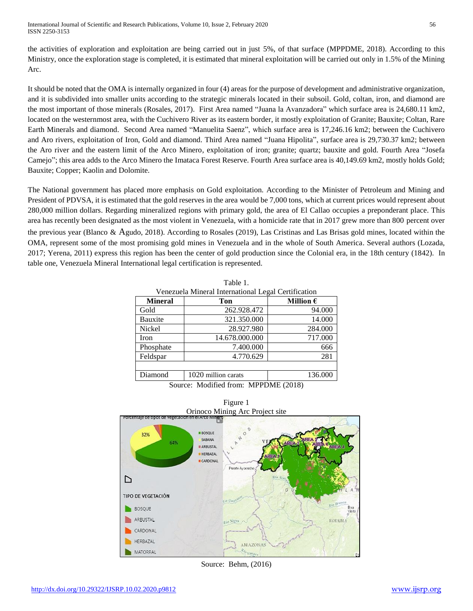International Journal of Scientific and Research Publications, Volume 10, Issue 2, February 2020 56 ISSN 2250-3153

the activities of exploration and exploitation are being carried out in just 5%, of that surface (MPPDME, 2018). According to this Ministry, once the exploration stage is completed, it is estimated that mineral exploitation will be carried out only in 1.5% of the Mining Arc.

It should be noted that the OMA is internally organized in four (4) areas for the purpose of development and administrative organization, and it is subdivided into smaller units according to the strategic minerals located in their subsoil. Gold, coltan, iron, and diamond are the most important of those minerals (Rosales, 2017). First Area named "Juana la Avanzadora" which surface area is 24,680.11 km2, located on the westernmost area, with the Cuchivero River as its eastern border, it mostly exploitation of Granite; Bauxite; Coltan, Rare Earth Minerals and diamond. Second Area named "Manuelita Saenz", which surface area is 17,246.16 km2; between the Cuchivero and Aro rivers, exploitation of Iron, Gold and diamond. Third Area named "Juana Hipolita", surface area is 29,730.37 km2; between the Aro river and the eastern limit of the Arco Minero, exploitation of iron; granite; quartz; bauxite and gold. Fourth Area "Josefa Camejo"; this area adds to the Arco Minero the Imataca Forest Reserve. Fourth Area surface area is 40,149.69 km2, mostly holds Gold; Bauxite; Copper; Kaolin and Dolomite.

The National government has placed more emphasis on Gold exploitation. According to the Minister of Petroleum and Mining and President of PDVSA, it is estimated that the gold reserves in the area would be 7,000 tons, which at current prices would represent about 280,000 million dollars. Regarding mineralized regions with primary gold, the area of El Callao occupies a preponderant place. This area has recently been designated as the most violent in Venezuela, with a homicide rate that in 2017 grew more than 800 percent over the previous year (Blanco & Agudo, 2018). According to Rosales (2019), Las Cristinas and Las Brisas gold mines, located within the OMA, represent some of the most promising gold mines in Venezuela and in the whole of South America. Several authors (Lozada, 2017; Yerena, 2011) express this region has been the center of gold production since the Colonial era, in the 18th century (1842). In table one, Venezuela Mineral International legal certification is represented.

| Venezuela Mineral International Legal Certification |                     |                    |
|-----------------------------------------------------|---------------------|--------------------|
| <b>Mineral</b>                                      | Ton                 | Million $\epsilon$ |
| Gold                                                | 262.928.472         | 94.000             |
| Bauxite                                             | 321.350.000         | 14.000             |
| Nickel                                              | 28.927.980          | 284.000            |
| Iron                                                | 14.678.000.000      | 717.000            |
| Phosphate                                           | 7.400.000           | 666                |
| Feldspar                                            | 4.770.629           | 281                |
|                                                     |                     |                    |
| Diamond                                             | 1020 million carats | 136.000            |

Table 1.

Figure 1



Source: Behm, (2016)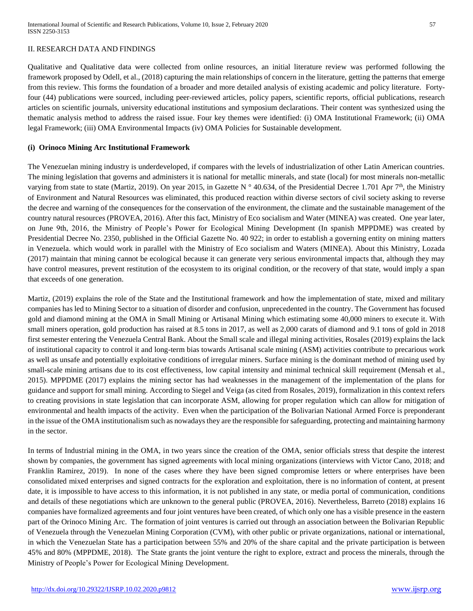## II. RESEARCH DATA AND FINDINGS

Qualitative and Qualitative data were collected from online resources, an initial literature review was performed following the framework proposed by Odell, et al., (2018) capturing the main relationships of concern in the literature, getting the patterns that emerge from this review. This forms the foundation of a broader and more detailed analysis of existing academic and policy literature. Fortyfour (44) publications were sourced, including peer-reviewed articles, policy papers, scientific reports, official publications, research articles on scientific journals, university educational institutions and symposium declarations. Their content was synthesized using the thematic analysis method to address the raised issue. Four key themes were identified: (i) OMA Institutional Framework; (ii) OMA legal Framework; (iii) OMA Environmental Impacts (iv) OMA Policies for Sustainable development.

#### **(i) Orinoco Mining Arc Institutional Framework**

The Venezuelan mining industry is underdeveloped, if compares with the levels of industrialization of other Latin American countries. The mining legislation that governs and administers it is national for metallic minerals, and state (local) for most minerals non-metallic varying from state to state (Martiz, 2019). On year 2015, in Gazette N  $^{\circ}$  40.634, of the Presidential Decree 1.701 Apr 7<sup>th</sup>, the Ministry of Environment and Natural Resources was eliminated, this produced reaction within diverse sectors of civil society asking to reverse the decree and warning of the consequences for the conservation of the environment, the climate and the sustainable management of the country natural resources (PROVEA, 2016). After this fact, Ministry of Eco socialism and Water (MINEA) was created. One year later, on June 9th, 2016, the Ministry of People's Power for Ecological Mining Development (In spanish MPPDME) was created by Presidential Decree No. 2350, published in the Official Gazette No. 40 922; in order to establish a governing entity on mining matters in Venezuela. which would work in parallel with the Ministry of Eco socialism and Waters (MINEA). About this Ministry, Lozada (2017) maintain that mining cannot be ecological because it can generate very serious environmental impacts that, although they may have control measures, prevent restitution of the ecosystem to its original condition, or the recovery of that state, would imply a span that exceeds of one generation.

Martiz, (2019) explains the role of the State and the Institutional framework and how the implementation of state, mixed and military companies has led to Mining Sector to a situation of disorder and confusion, unprecedented in the country. The Government has focused gold and diamond mining at the OMA in Small Mining or Artisanal Mining which estimating some 40,000 miners to execute it. With small miners operation, gold production has raised at 8.5 tons in 2017, as well as 2,000 carats of diamond and 9.1 tons of gold in 2018 first semester entering the Venezuela Central Bank. About the Small scale and illegal mining activities, Rosales (2019) explains the lack of institutional capacity to control it and long-term bias towards Artisanal scale mining (ASM) activities contribute to precarious work as well as unsafe and potentially exploitative conditions of irregular miners. Surface mining is the dominant method of mining used by small-scale mining artisans due to its cost effectiveness, low capital intensity and minimal technical skill requirement (Mensah et al., 2015). MPPDME (2017) explains the mining sector has had weaknesses in the management of the implementation of the plans for guidance and support for small mining. According to Siegel and Veiga (as cited from Rosales, 2019), formalization in this context refers to creating provisions in state legislation that can incorporate ASM, allowing for proper regulation which can allow for mitigation of environmental and health impacts of the activity. Even when the participation of the Bolivarian National Armed Force is preponderant in the issue of the OMA institutionalism such as nowadays they are the responsible for safeguarding, protecting and maintaining harmony in the sector.

In terms of Industrial mining in the OMA, in two years since the creation of the OMA, senior officials stress that despite the interest shown by companies, the government has signed agreements with local mining organizations (interviews with Victor Cano, 2018; and Franklin Ramirez, 2019). In none of the cases where they have been signed compromise letters or where enterprises have been consolidated mixed enterprises and signed contracts for the exploration and exploitation, there is no information of content, at present date, it is impossible to have access to this information, it is not published in any state, or media portal of communication, conditions and details of these negotiations which are unknown to the general public (PROVEA, 2016). Nevertheless, Barreto (2018) explains 16 companies have formalized agreements and four joint ventures have been created, of which only one has a visible presence in the eastern part of the Orinoco Mining Arc. The formation of joint ventures is carried out through an association between the Bolivarian Republic of Venezuela through the Venezuelan Mining Corporation (CVM), with other public or private organizations, national or international, in which the Venezuelan State has a participation between 55% and 20% of the share capital and the private participation is between 45% and 80% (MPPDME, 2018). The State grants the joint venture the right to explore, extract and process the minerals, through the Ministry of People's Power for Ecological Mining Development.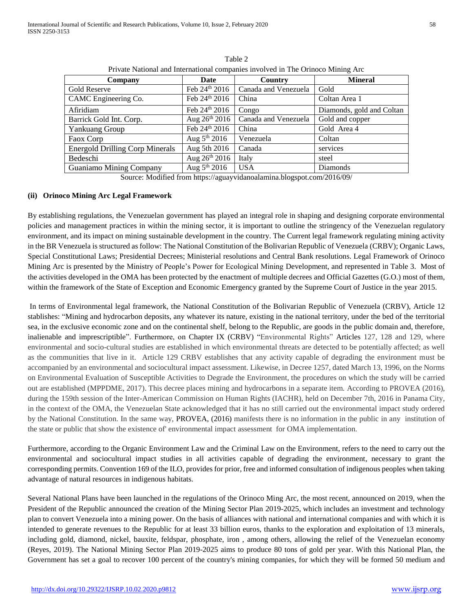| o esta           |              |
|------------------|--------------|
| I<br>I<br>$\sim$ | ٦<br>×<br>۰, |
|                  |              |

| Company                                | Date               | Country              | <b>Mineral</b>            |
|----------------------------------------|--------------------|----------------------|---------------------------|
| Gold Reserve                           | Feb 24th 2016      | Canada and Venezuela | Gold                      |
| CAMC Engineering Co.                   | Feb 24th 2016      | China                | Coltan Area 1             |
| Afiridiam                              | Feb 24th 2016      | Congo                | Diamonds, gold and Coltan |
| Barrick Gold Int. Corp.                | Aug $26^{th}$ 2016 | Canada and Venezuela | Gold and copper           |
| <b>Yankuang Group</b>                  | Feb 24th 2016      | China                | Gold Area 4               |
| Faox Corp                              | Aug $5^{th}$ 2016  | Venezuela            | Coltan                    |
| <b>Energold Drilling Corp Minerals</b> | Aug 5th 2016       | Canada               | services                  |
| Bedeschi                               | Aug $26^{th}$ 2016 | Italy                | steel                     |
| Guaniamo Mining Company                | Aug $5^{th}$ 2016  | <b>USA</b>           | Diamonds                  |

Table 2 Private National and International companies involved in The Orinoco Mining Arc

Source: Modified from <https://aguayvidanoalamina.blogspot.com/2016/09/>

#### **(ii) Orinoco Mining Arc Legal Framework**

By establishing regulations, the Venezuelan government has played an integral role in shaping and designing corporate environmental policies and management practices in within the mining sector, it is important to outline the stringency of the Venezuelan regulatory environment, and its impact on mining sustainable development in the country. The Current legal framework regulating mining activity in the BR Venezuela is structured as follow: The National Constitution of the Bolivarian Republic of Venezuela (CRBV); Organic Laws, Special Constitutional Laws; Presidential Decrees; Ministerial resolutions and Central Bank resolutions. Legal Framework of Orinoco Mining Arc is presented by the Ministry of People's Power for Ecological Mining Development, and represented in Table 3. Most of the activities developed in the OMA has been protected by the enactment of multiple decrees and Official Gazettes (G.O.) most of them, within the framework of the State of Exception and Economic Emergency granted by the Supreme Court of Justice in the year 2015.

In terms of Environmental legal framework, the National Constitution of the Bolivarian Republic of Venezuela (CRBV), Article 12 stablishes: "Mining and hydrocarbon deposits, any whatever its nature, existing in the national territory, under the bed of the territorial sea, in the exclusive economic zone and on the continental shelf, belong to the Republic, are goods in the public domain and, therefore, inalienable and imprescriptible". Furthermore, on Chapter IX (CRBV) "Environmental Rights" Articles 127, 128 and 129, where environmental and socio-cultural studies are established in which environmental threats are detected to be potentially affected; as well as the communities that live in it. Article 129 CRBV establishes that any activity capable of degrading the environment must be accompanied by an environmental and sociocultural impact assessment. Likewise, in Decree 1257, dated March 13, 1996, on the Norms on Environmental Evaluation of Susceptible Activities to Degrade the Environment, the procedures on which the study will be carried out are established (MPPDME, 2017). This decree places mining and hydrocarbons in a separate item. According to PROVEA (2016), during the 159th session of the Inter-American Commission on Human Rights (IACHR), held on December 7th, 2016 in Panama City, in the context of the OMA, the Venezuelan State acknowledged that it has no still carried out the environmental impact study ordered by the National Constitution. In the same way, PROVEA, (2016) manifests there is no information in the public in any institution of the state or public that show the existence of' environmental impact assessment for OMA implementation.

Furthermore, according to the Organic Environment Law and the Criminal Law on the Environment, refers to the need to carry out the environmental and sociocultural impact studies in all activities capable of degrading the environment, necessary to grant the corresponding permits. Convention 169 of the ILO, provides for prior, free and informed consultation of indigenous peoples when taking advantage of natural resources in indigenous habitats.

Several National Plans have been launched in the regulations of the Orinoco Ming Arc, the most recent, announced on 2019, when the President of the Republic announced the creation of the Mining Sector Plan 2019-2025, which includes an investment and technology plan to convert Venezuela into a mining power. On the basis of alliances with national and international companies and with which it is intended to generate revenues to the Republic for at least 33 billion euros, thanks to the exploration and exploitation of 13 minerals, including gold, diamond, nickel, bauxite, feldspar, phosphate, iron , among others, allowing the relief of the Venezuelan economy (Reyes, 2019). The National Mining Sector Plan 2019-2025 aims to produce 80 tons of gold per year. With this National Plan, the Government has set a goal to recover 100 percent of the country's mining companies, for which they will be formed 50 medium and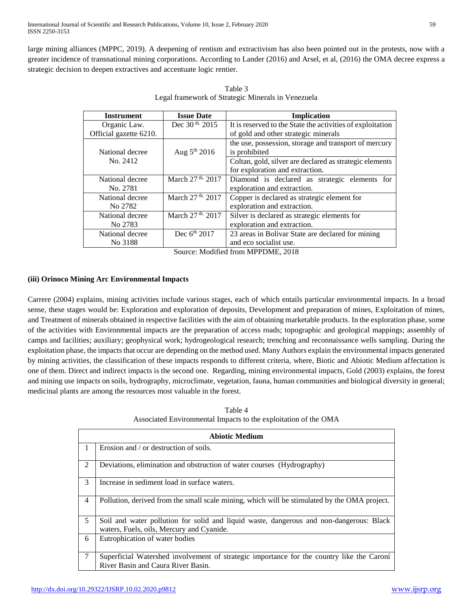large mining alliances (MPPC, 2019). A deepening of rentism and extractivism has also been pointed out in the protests, now with a greater incidence of transnational mining corporations. According to Lander (2016) and Arsel, et al, (2016) the OMA decree express a strategic decision to deepen extractives and accentuate logic rentier.

| <b>Instrument</b>      | <b>Issue Date</b>            | <b>Implication</b>                                                                                                                                                                                                                                                                                                                 |
|------------------------|------------------------------|------------------------------------------------------------------------------------------------------------------------------------------------------------------------------------------------------------------------------------------------------------------------------------------------------------------------------------|
| Organic Law.           | Dec 30 <sup>th</sup> 2015    | It is reserved to the State the activities of exploitation                                                                                                                                                                                                                                                                         |
| Official gazette 6210. |                              | of gold and other strategic minerals                                                                                                                                                                                                                                                                                               |
|                        |                              | the use, possession, storage and transport of mercury                                                                                                                                                                                                                                                                              |
| National decree        | Aug $5th 2016$               | is prohibited                                                                                                                                                                                                                                                                                                                      |
| No. 2412               |                              | Coltan, gold, silver are declared as strategic elements                                                                                                                                                                                                                                                                            |
|                        |                              | for exploration and extraction.                                                                                                                                                                                                                                                                                                    |
| National decree        | March 27 <sup>th.</sup> 2017 | Diamond is declared as strategic elements for                                                                                                                                                                                                                                                                                      |
| No. 2781               |                              | exploration and extraction.                                                                                                                                                                                                                                                                                                        |
| National decree        | March 27 <sup>th.</sup> 2017 | Copper is declared as strategic element for                                                                                                                                                                                                                                                                                        |
| No 2782                |                              | exploration and extraction.                                                                                                                                                                                                                                                                                                        |
| National decree        | March 27 <sup>th.</sup> 2017 | Silver is declared as strategic elements for                                                                                                                                                                                                                                                                                       |
| No 2783                |                              | exploration and extraction.                                                                                                                                                                                                                                                                                                        |
| National decree        | Dec $6^{th}$ 2017            | 23 areas in Bolivar State are declared for mining                                                                                                                                                                                                                                                                                  |
| No 3188                |                              | and eco socialist use.                                                                                                                                                                                                                                                                                                             |
|                        | $\sim$                       | $\mathbf{M}$ $\mathbf{R}$ $\mathbf{R}$ $\mathbf{R}$ $\mathbf{R}$ $\mathbf{R}$ $\mathbf{R}$ $\mathbf{R}$ $\mathbf{R}$ $\mathbf{R}$ $\mathbf{R}$ $\mathbf{R}$ $\mathbf{R}$ $\mathbf{R}$ $\mathbf{R}$ $\mathbf{R}$ $\mathbf{R}$ $\mathbf{R}$ $\mathbf{R}$ $\mathbf{R}$ $\mathbf{R}$ $\mathbf{R}$ $\mathbf{R}$ $\mathbf{R}$ $\mathbf{$ |

Table 3 Legal framework of Strategic Minerals in Venezuela

Source: Modified from MPPDME, 2018

## **(iii) Orinoco Mining Arc Environmental Impacts**

Carrere (2004) explains, mining activities include various stages, each of which entails particular environmental impacts. In a broad sense, these stages would be: Exploration and exploration of deposits, Development and preparation of mines, Exploitation of mines, and Treatment of minerals obtained in respective facilities with the aim of obtaining marketable products. In the exploration phase, some of the activities with Environmental impacts are the preparation of access roads; topographic and geological mappings; assembly of camps and facilities; auxiliary; geophysical work; hydrogeological research; trenching and reconnaissance wells sampling. During the exploitation phase, the impacts that occur are depending on the method used. Many Authors explain the environmental impacts generated by mining activities, the classification of these impacts responds to different criteria, where, Biotic and Abiotic Medium affectation is one of them. Direct and indirect impacts is the second one. Regarding, mining environmental impacts, Gold (2003) explains, the forest and mining use impacts on soils, hydrography, microclimate, vegetation, fauna, human communities and biological diversity in general; medicinal plants are among the resources most valuable in the forest.

Table 4 Associated Environmental Impacts to the exploitation of the OMA

| <b>Abiotic Medium</b> |                                                                                                                                      |  |
|-----------------------|--------------------------------------------------------------------------------------------------------------------------------------|--|
| $\mathbf{1}$          | Erosion and / or destruction of soils.                                                                                               |  |
| 2                     | Deviations, elimination and obstruction of water courses (Hydrography)                                                               |  |
| 3                     | Increase in sediment load in surface waters.                                                                                         |  |
| $\overline{4}$        | Pollution, derived from the small scale mining, which will be stimulated by the OMA project.                                         |  |
| 5                     | Soil and water pollution for solid and liquid waste, dangerous and non-dangerous: Black<br>waters, Fuels, oils, Mercury and Cyanide. |  |
| 6                     | Eutrophication of water bodies                                                                                                       |  |
| 7                     | Superficial Watershed involvement of strategic importance for the country like the Caroní                                            |  |
|                       | River Basin and Caura River Basin.                                                                                                   |  |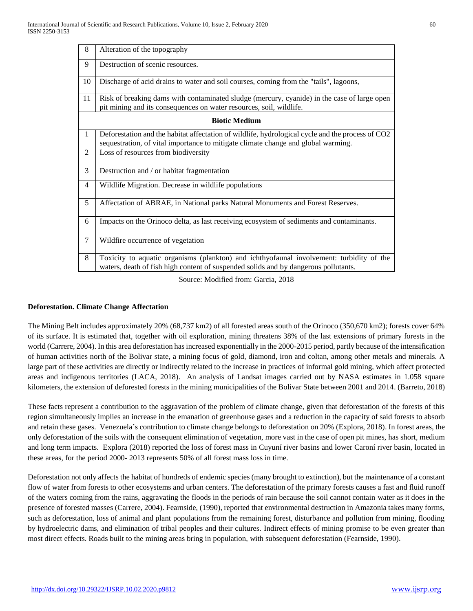| 8              | Alteration of the topography                                                                                                                                                          |  |  |
|----------------|---------------------------------------------------------------------------------------------------------------------------------------------------------------------------------------|--|--|
| 9              | Destruction of scenic resources.                                                                                                                                                      |  |  |
| 10             | Discharge of acid drains to water and soil courses, coming from the "tails", lagoons,                                                                                                 |  |  |
| 11             | Risk of breaking dams with contaminated sludge (mercury, cyanide) in the case of large open<br>pit mining and its consequences on water resources, soil, wildlife.                    |  |  |
|                | <b>Biotic Medium</b>                                                                                                                                                                  |  |  |
| $\mathbf{1}$   | Deforestation and the habitat affectation of wildlife, hydrological cycle and the process of CO2<br>sequestration, of vital importance to mitigate climate change and global warming. |  |  |
| 2              | Loss of resources from biodiversity                                                                                                                                                   |  |  |
| 3              | Destruction and / or habitat fragmentation                                                                                                                                            |  |  |
| $\overline{4}$ | Wildlife Migration. Decrease in wildlife populations                                                                                                                                  |  |  |
| 5              | Affectation of ABRAE, in National parks Natural Monuments and Forest Reserves.                                                                                                        |  |  |
| 6              | Impacts on the Orinoco delta, as last receiving ecosystem of sediments and contaminants.                                                                                              |  |  |
| $\overline{7}$ | Wildfire occurrence of vegetation                                                                                                                                                     |  |  |
| 8              | Toxicity to aquatic organisms (plankton) and ichthyofaunal involvement: turbidity of the<br>waters, death of fish high content of suspended solids and by dangerous pollutants.       |  |  |

Source: Modified from: Garcia, 2018

## **Deforestation. Climate Change Affectation**

The Mining Belt includes approximately 20% (68,737 km2) of all forested areas south of the Orinoco (350,670 km2); forests cover 64% of its surface. It is estimated that, together with oil exploration, mining threatens 38% of the last extensions of primary forests in the world (Carrere, 2004). In this area deforestation has increased exponentially in the 2000-2015 period, partly because of the intensification of human activities north of the Bolivar state, a mining focus of gold, diamond, iron and coltan, among other metals and minerals. A large part of these activities are directly or indirectly related to the increase in practices of informal gold mining, which affect protected areas and indigenous territories (LACA, 2018). An analysis of Landsat images carried out by NASA estimates in 1.058 square kilometers, the extension of deforested forests in the mining municipalities of the Bolivar State between 2001 and 2014. (Barreto, 2018)

These facts represent a contribution to the aggravation of the problem of climate change, given that deforestation of the forests of this region simultaneously implies an increase in the emanation of greenhouse gases and a reduction in the capacity of said forests to absorb and retain these gases. Venezuela's contribution to climate change belongs to deforestation on 20% (Explora, 2018). In forest areas, the only deforestation of the soils with the consequent elimination of vegetation, more vast in the case of open pit mines, has short, medium and long term impacts. Explora (2018) reported the loss of forest mass in Cuyuní river basins and lower Caroní river basin, located in these areas, for the period 2000- 2013 represents 50% of all forest mass loss in time.

Deforestation not only affects the habitat of hundreds of endemic species (many brought to extinction), but the maintenance of a constant flow of water from forests to other ecosystems and urban centers. The deforestation of the primary forests causes a fast and fluid runoff of the waters coming from the rains, aggravating the floods in the periods of rain because the soil cannot contain water as it does in the presence of forested masses (Carrere, 2004). Fearnside, (1990), reported that environmental destruction in Amazonia takes many forms, such as deforestation, loss of animal and plant populations from the remaining forest, disturbance and pollution from mining, flooding by hydroelectric dams, and elimination of tribal peoples and their cultures. Indirect effects of mining promise to be even greater than most direct effects. Roads built to the mining areas bring in population, with subsequent deforestation (Fearnside, 1990).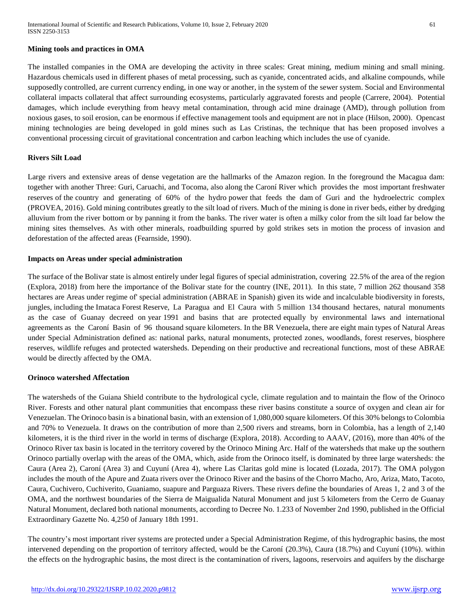#### **Mining tools and practices in OMA**

The installed companies in the OMA are developing the activity in three scales: Great mining, medium mining and small mining. Hazardous chemicals used in different phases of metal processing, such as cyanide, concentrated acids, and alkaline compounds, while supposedly controlled, are current currency ending, in one way or another, in the system of the sewer system. Social and Environmental collateral impacts collateral that affect surrounding ecosystems, particularly aggravated forests and people (Carrere, 2004). Potential damages, which include everything from heavy metal contamination, through acid mine drainage (AMD), through pollution from noxious gases, to soil erosion, can be enormous if effective management tools and equipment are not in place (Hilson, 2000). Opencast mining technologies are being developed in gold mines such as Las Cristinas, the technique that has been proposed involves a conventional processing circuit of gravitational concentration and carbon leaching which includes the use of cyanide.

#### **Rivers Silt Load**

Large rivers and extensive areas of dense vegetation are the hallmarks of the Amazon region. In the foreground the Macagua dam: together with another Three: Guri, Caruachi, and Tocoma, also along the Caroní River which provides the most important freshwater reserves of the country and generating of 60% of the hydro power that feeds the dam of Guri and the hydroelectric complex (PROVEA, 2016). Gold mining contributes greatly to the silt load of rivers. Much of the mining is done in river beds, either by dredging alluvium from the river bottom or by panning it from the banks. The river water is often a milky color from the silt load far below the mining sites themselves. As with other minerals, roadbuilding spurred by gold strikes sets in motion the process of invasion and deforestation of the affected areas (Fearnside, 1990).

#### **Impacts on Areas under special administration**

The surface of the Bolivar state is almost entirely under legal figures of special administration, covering 22.5% of the area of the region (Explora, 2018) from here the importance of the Bolivar state for the country (INE, 2011). In this state, 7 million 262 thousand 358 hectares are Areas under regime of' special administration (ABRAE in Spanish) given its wide and incalculable biodiversity in forests, jungles, including the Imataca Forest Reserve, La Paragua and El Caura with 5 million 134 thousand hectares, natural monuments as the case of Guanay decreed on year 1991 and basins that are protected equally by environmental laws and international agreements as the Caroní Basin of 96 thousand square kilometers. In the BR Venezuela, there are eight main types of Natural Areas under Special Administration defined as: national parks, natural monuments, protected zones, woodlands, forest reserves, biosphere reserves, wildlife refuges and protected watersheds. Depending on their productive and recreational functions, most of these ABRAE would be directly affected by the OMA.

#### **Orinoco watershed Affectation**

The watersheds of the Guiana Shield contribute to the hydrological cycle, climate regulation and to maintain the flow of the Orinoco River. Forests and other natural plant communities that encompass these river basins constitute a source of oxygen and clean air for Venezuelan. The Orinoco basin is a binational basin, with an extension of 1,080,000 square kilometers. Of this 30% belongs to Colombia and 70% to Venezuela. It draws on the contribution of more than 2,500 rivers and streams, born in Colombia, has a length of 2,140 kilometers, it is the third river in the world in terms of discharge (Explora, 2018). According to AAAV, (2016), more than 40% of the Orinoco River tax basin is located in the territory covered by the Orinoco Mining Arc. Half of the watersheds that make up the southern Orinoco partially overlap with the areas of the OMA, which, aside from the Orinoco itself, is dominated by three large watersheds: the Caura (Area 2), Caroní (Area 3) and Cuyuní (Area 4), where Las Claritas gold mine is located (Lozada, 2017). The OMA polygon includes the mouth of the Apure and Zuata rivers over the Orinoco River and the basins of the Chorro Macho, Aro, Ariza, Mato, Tacoto, Caura, Cuchivero, Cuchiverito, Guaniamo, suapure and Parguaza Rivers. These rivers define the boundaries of Areas 1, 2 and 3 of the OMA, and the northwest boundaries of the Sierra de Maigualida Natural Monument and just 5 kilometers from the Cerro de Guanay Natural Monument, declared both national monuments, according to Decree No. 1.233 of November 2nd 1990, published in the Official Extraordinary Gazette No. 4,250 of January 18th 1991.

The country's most important river systems are protected under a Special Administration Regime, of this hydrographic basins, the most intervened depending on the proportion of territory affected, would be the Caroní (20.3%), Caura (18.7%) and Cuyuní (10%). within the effects on the hydrographic basins, the most direct is the contamination of rivers, lagoons, reservoirs and aquifers by the discharge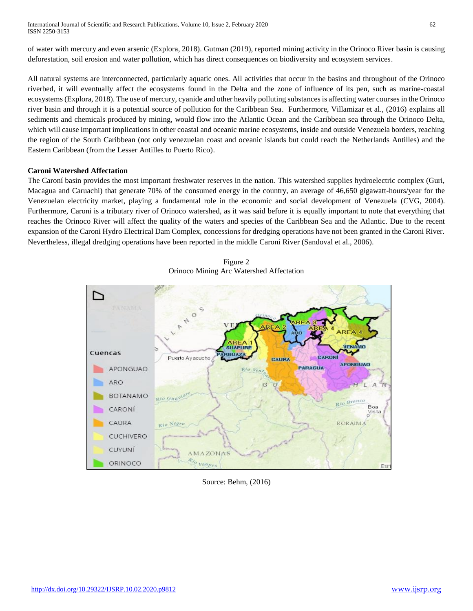of water with mercury and even arsenic (Explora, 2018). Gutman (2019), reported mining activity in the Orinoco River basin is causing deforestation, soil erosion and water pollution, which has direct consequences on biodiversity and ecosystem services.

All natural systems are interconnected, particularly aquatic ones. All activities that occur in the basins and throughout of the Orinoco riverbed, it will eventually affect the ecosystems found in the Delta and the zone of influence of its pen, such as marine-coastal ecosystems (Explora, 2018). The use of mercury, cyanide and other heavily polluting substances is affecting water courses in the Orinoco river basin and through it is a potential source of pollution for the Caribbean Sea. Furthermore, Villamizar et al., (2016) explains all sediments and chemicals produced by mining, would flow into the Atlantic Ocean and the Caribbean sea through the Orinoco Delta, which will cause important implications in other coastal and oceanic marine ecosystems, inside and outside Venezuela borders, reaching the region of the South Caribbean (not only venezuelan coast and oceanic islands but could reach the Netherlands Antilles) and the Eastern Caribbean (from the Lesser Antilles to Puerto Rico).

## **Caroni Watershed Affectation**

The Caroní basin provides the most important freshwater reserves in the nation. This watershed supplies hydroelectric complex (Guri, Macagua and Caruachi) that generate 70% of the consumed energy in the country, an average of 46,650 gigawatt-hours/year for the Venezuelan electricity market, playing a fundamental role in the economic and social development of Venezuela (CVG, 2004). Furthermore, Caroni is a tributary river of Orinoco watershed, as it was said before it is equally important to note that everything that reaches the Orinoco River will affect the quality of the waters and species of the Caribbean Sea and the Atlantic. Due to the recent expansion of the Caroni Hydro Electrical Dam Complex, concessions for dredging operations have not been granted in the Caroni River. Nevertheless, illegal dredging operations have been reported in the middle Caroni River (Sandoval et al., 2006).



Figure 2 Orinoco Mining Arc Watershed Affectation

Source: Behm, (2016)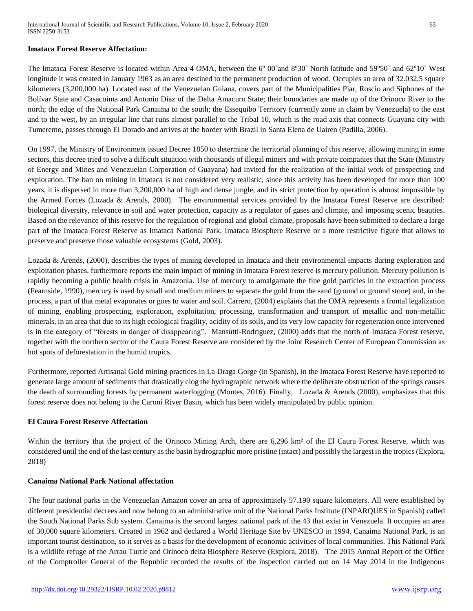#### **Imataca Forest Reserve Affectation:**

The Imataca Forest Reserve is located within Area 4 OMA, between the 6º 00´and 8º30` North latitude and 59º50` and 62º10` West longitude it was created in January 1963 as an area destined to the permanent production of wood. Occupies an area of 32.032,5 square kilometers (3,200,000 ha). Located east of the Venezuelan Guiana, covers part of the Municipalities Piar, Roscio and Siphones of the Bolívar State and Casacoima and Antonio Diaz of the Delta Amacuro State; their boundaries are made up of the Orinoco River to the north; the edge of the National Park Canaima to the south; the Essequibo Territory (currently zone in claim by Venezuela) to the east and to the west, by an irregular line that runs almost parallel to the Tribal 10, which is the road axis that connects Guayana city with Tumeremo, passes through El Dorado and arrives at the border with Brazil in Santa Elena de Uairen (Padilla, 2006).

On 1997, the Ministry of Environment issued Decree 1850 to determine the territorial planning of this reserve, allowing mining in some sectors, this decree tried to solve a difficult situation with thousands of illegal miners and with private companies that the State (Ministry of Energy and Mines and Venezuelan Corporation of Guayana) had invited for the realization of the initial work of prospecting and exploration. The ban on mining in Imataca is not considered very realistic, since this activity has been developed for more than 100 years, it is dispersed in more than 3,200,000 ha of high and dense jungle, and its strict protection by operation is almost impossible by the Armed Forces (Lozada & Arends, 2000). The environmental services provided by the Imataca Forest Reserve are described: biological diversity, relevance in soil and water protection, capacity as a regulator of gases and climate, and imposing scenic beauties. Based on the relevance of this reserve for the regulation of regional and global climate, proposals have been submitted to declare a large part of the Imataca Forest Reserve as Imataca National Park, Imataca Biosphere Reserve or a more restrictive figure that allows to preserve and preserve those valuable ecosystems (Gold, 2003).

Lozada & Arends, (2000), describes the types of mining developed in Imataca and their environmental impacts during exploration and exploitation phases, furthermore reports the main impact of mining in Imataca Forest reserve is mercury pollution. Mercury pollution is rapidly becoming a public health crisis in Amazonia. Use of mercury to amalgamate the fine gold particles in the extraction process (Fearnside, 1990), mercury is used by small and medium miners to separate the gold from the sand (ground or ground stone) and, in the process, a part of that metal evaporates or goes to water and soil. Carrero, (2004) explains that the OMA represents a frontal legalization of mining, enabling prospecting, exploration, exploitation, processing, transformation and transport of metallic and non-metallic minerals, in an area that due to its high ecological fragility, acidity of its soils, and its very low capacity for regeneration once intervened is in the category of "forests in danger of disappearing". Mansutti-Rodriguez, (2000) adds that the north of Imataca Forest reserve, together with the northern sector of the Caura Forest Reserve are considered by the Joint Research Center of European Commission as hot spots of deforestation in the humid tropics.

Furthermore, reported Artisanal Gold mining practices in La Draga Gorge (in Spanish), in the Imataca Forest Reserve have reported to generate large amount of sediments that drastically clog the hydrographic network where the deliberate obstruction of the springs causes the death of surrounding forests by permanent waterlogging (Montes, 2016). Finally, Lozada & Arends (2000), emphasizes that this forest reserve does not belong to the Caroní River Basin, which has been widely manipulated by public opinion.

## **El Caura Forest Reserve Affectation**

Within the territory that the project of the Orinoco Mining Arch, there are 6,296 km<sup>2</sup> of the El Caura Forest Reserve, which was considered until the end of the last century as the basin hydrographic more pristine (intact) and possibly the largest in the tropics (Explora, 2018)

#### **Canaima National Park National affectation**

The four national parks in the Venezuelan Amazon cover an area of approximately 57.190 square kilometers. All were established by different presidential decrees and now belong to an administrative unit of the National Parks Institute (INPARQUES in Spanish) called the South National Parks Sub system. Canaima is the second largest national park of the 43 that exist in Venezuela. It occupies an area of 30,000 square kilometers. Created in 1962 and declared a World Heritage Site by UNESCO in 1994. Canaima National Park, is an important tourist destination, so it serves as a basis for the development of economic activities of local communities. This National Park is a wildlife refuge of the Arrau Turtle and Orinoco delta Biosphere Reserve (Explora, 2018). The 2015 Annual Report of the Office of the Comptroller General of the Republic recorded the results of the inspection carried out on 14 May 2014 in the Indigenous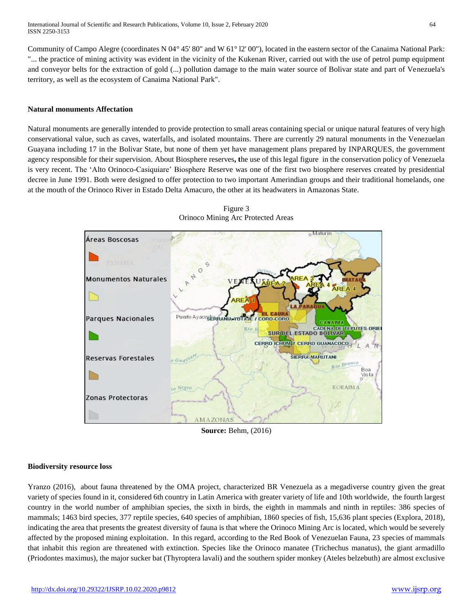Community of Campo Alegre (coordinates N 04° 45' 80" and W 61° l2' 00"), located in the eastern sector of the Canaima National Park: "... the practice of mining activity was evident in the vicinity of the Kukenan River, carried out with the use of petrol pump equipment and conveyor belts for the extraction of gold (...) pollution damage to the main water source of Bolivar state and part of Venezuela's territory, as well as the ecosystem of Canaima National Park".

#### **Natural monuments Affectation**

Natural monuments are generally intended to provide protection to small areas containing special or unique natural features of very high conservational value, such as caves, waterfalls, and isolated mountains. There are currently 29 natural monuments in the Venezuelan Guayana including 17 in the Bolivar State, but none of them yet have management plans prepared by INPARQUES, the government agency responsible for their supervision. About Biosphere reserves**, t**he use of this legal figure in the conservation policy of Venezuela is very recent. The 'Alto Orinoco-Casiquiare' Biosphere Reserve was one of the first two biosphere reserves created by presidential decree in June 1991. Both were designed to offer protection to two important Amerindian groups and their traditional homelands, one at the mouth of the Orinoco River in Estado Delta Amacuro, the other at its headwaters in Amazonas State.





**Source:** Behm, (2016)

## **Biodiversity resource loss**

Yranzo (2016), about fauna threatened by the OMA project, characterized BR Venezuela as a megadiverse country given the great variety of species found in it, considered 6th country in Latin America with greater variety of life and 10th worldwide, the fourth largest country in the world number of amphibian species, the sixth in birds, the eighth in mammals and ninth in reptiles: 386 species of mammals; 1463 bird species, 377 reptile species, 640 species of amphibian, 1860 species of fish, 15,636 plant species (Explora, 2018), indicating the area that presents the greatest diversity of fauna is that where the Orinoco Mining Arc is located, which would be severely affected by the proposed mining exploitation. In this regard, according to the Red Book of Venezuelan Fauna, 23 species of mammals that inhabit this region are threatened with extinction. Species like the Orinoco manatee (Trichechus manatus), the giant armadillo (Priodontes maximus), the major sucker bat (Thyroptera lavali) and the southern spider monkey (Ateles belzebuth) are almost exclusive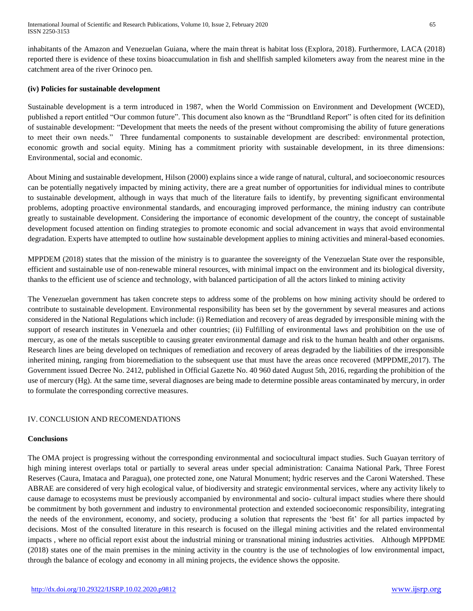inhabitants of the Amazon and Venezuelan Guiana, where the main threat is habitat loss (Explora, 2018). Furthermore, LACA (2018) reported there is evidence of these toxins bioaccumulation in fish and shellfish sampled kilometers away from the nearest mine in the catchment area of the river Orinoco pen.

#### **(iv) Policies for sustainable development**

Sustainable development is a term introduced in 1987, when the World Commission on Environment and Development (WCED), published a report entitled "Our common future". This document also known as the "Brundtland Report" is often cited for its definition of sustainable development: "Development that meets the needs of the present without compromising the ability of future generations to meet their own needs." Three fundamental components to sustainable development are described: environmental protection, economic growth and social equity. Mining has a commitment priority with sustainable development, in its three dimensions: Environmental, social and economic.

About Mining and sustainable development, Hilson (2000) explains since a wide range of natural, cultural, and socioeconomic resources can be potentially negatively impacted by mining activity, there are a great number of opportunities for individual mines to contribute to sustainable development, although in ways that much of the literature fails to identify, by preventing significant environmental problems, adopting proactive environmental standards, and encouraging improved performance, the mining industry can contribute greatly to sustainable development. Considering the importance of economic development of the country, the concept of sustainable development focused attention on finding strategies to promote economic and social advancement in ways that avoid environmental degradation. Experts have attempted to outline how sustainable development applies to mining activities and mineral-based economies.

MPPDEM (2018) states that the mission of the ministry is to guarantee the sovereignty of the Venezuelan State over the responsible, efficient and sustainable use of non-renewable mineral resources, with minimal impact on the environment and its biological diversity, thanks to the efficient use of science and technology, with balanced participation of all the actors linked to mining activity

The Venezuelan government has taken concrete steps to address some of the problems on how mining activity should be ordered to contribute to sustainable development. Environmental responsibility has been set by the government by several measures and actions considered in the National Regulations which include: (i) Remediation and recovery of areas degraded by irresponsible mining with the support of research institutes in Venezuela and other countries; (ii) Fulfilling of environmental laws and prohibition on the use of mercury, as one of the metals susceptible to causing greater environmental damage and risk to the human health and other organisms. Research lines are being developed on techniques of remediation and recovery of areas degraded by the liabilities of the irresponsible inherited mining, ranging from bioremediation to the subsequent use that must have the areas once recovered (MPPDME,2017). The Government issued Decree No. 2412, published in Official Gazette No. 40 960 dated August 5th, 2016, regarding the prohibition of the use of mercury (Hg). At the same time, several diagnoses are being made to determine possible areas contaminated by mercury, in order to formulate the corresponding corrective measures.

## IV. CONCLUSION AND RECOMENDATIONS

## **Conclusions**

The OMA project is progressing without the corresponding environmental and sociocultural impact studies. Such Guayan territory of high mining interest overlaps total or partially to several areas under special administration: Canaima National Park, Three Forest Reserves (Caura, Imataca and Paragua), one protected zone, one Natural Monument; hydric reserves and the Caroni Watershed. These ABRAE are considered of very high ecological value, of biodiversity and strategic environmental services, where any activity likely to cause damage to ecosystems must be previously accompanied by environmental and socio- cultural impact studies where there should be commitment by both government and industry to environmental protection and extended socioeconomic responsibility, integrating the needs of the environment, economy, and society, producing a solution that represents the 'best fit' for all parties impacted by decisions. Most of the consulted literature in this research is focused on the illegal mining activities and the related environmental impacts , where no official report exist about the industrial mining or transnational mining industries activities. Although MPPDME (2018) states one of the main premises in the mining activity in the country is the use of technologies of low environmental impact, through the balance of ecology and economy in all mining projects, the evidence shows the opposite.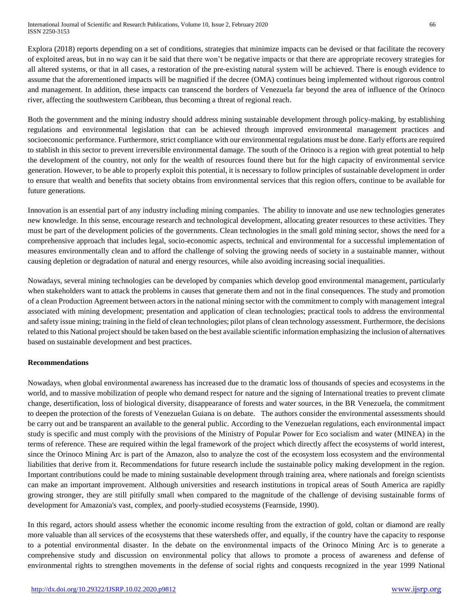Explora (2018) reports depending on a set of conditions, strategies that minimize impacts can be devised or that facilitate the recovery of exploited areas, but in no way can it be said that there won't be negative impacts or that there are appropriate recovery strategies for all altered systems, or that in all cases, a restoration of the pre-existing natural system will be achieved. There is enough evidence to assume that the aforementioned impacts will be magnified if the decree (OMA) continues being implemented without rigorous control and management. In addition, these impacts can transcend the borders of Venezuela far beyond the area of influence of the Orinoco river, affecting the southwestern Caribbean, thus becoming a threat of regional reach.

Both the government and the mining industry should address mining sustainable development through policy-making, by establishing regulations and environmental legislation that can be achieved through improved environmental management practices and socioeconomic performance. Furthermore, strict compliance with our environmental regulations must be done. Early efforts are required to stablish in this sector to prevent irreversible environmental damage. The south of the Orinoco is a region with great potential to help the development of the country, not only for the wealth of resources found there but for the high capacity of environmental service generation. However, to be able to properly exploit this potential, it is necessary to follow principles of sustainable development in order to ensure that wealth and benefits that society obtains from environmental services that this region offers, continue to be available for future generations.

Innovation is an essential part of any industry including mining companies. The ability to innovate and use new technologies generates new knowledge. In this sense, encourage research and technological development, allocating greater resources to these activities. They must be part of the development policies of the governments. Clean technologies in the small gold mining sector, shows the need for a comprehensive approach that includes legal, socio-economic aspects, technical and environmental for a successful implementation of measures environmentally clean and to afford the challenge of solving the growing needs of society in a sustainable manner, without causing depletion or degradation of natural and energy resources, while also avoiding increasing social inequalities.

Nowadays, several mining technologies can be developed by companies which develop good environmental management, particularly when stakeholders want to attack the problems in causes that generate them and not in the final consequences. The study and promotion of a clean Production Agreement between actors in the national mining sector with the commitment to comply with management integral associated with mining development; presentation and application of clean technologies; practical tools to address the environmental and safety issue mining; training in the field of clean technologies; pilot plans of clean technology assessment. Furthermore, the decisions related to this National project should be taken based on the best available scientific information emphasizing the inclusion of alternatives based on sustainable development and best practices.

## **Recommendations**

Nowadays, when global environmental awareness has increased due to the dramatic loss of thousands of species and ecosystems in the world, and to massive mobilization of people who demand respect for nature and the signing of International treaties to prevent climate change, desertification, loss of biological diversity, disappearance of forests and water sources, in the BR Venezuela, the commitment to deepen the protection of the forests of Venezuelan Guiana is on debate. The authors consider the environmental assessments should be carry out and be transparent an available to the general public. According to the Venezuelan regulations, each environmental impact study is specific and must comply with the provisions of the Ministry of Popular Power for Eco socialism and water (MINEA) in the terms of reference. These are required within the legal framework of the project which directly affect the ecosystems of world interest, since the Orinoco Mining Arc is part of the Amazon, also to analyze the cost of the ecosystem loss ecosystem and the environmental liabilities that derive from it. Recommendations for future research include the sustainable policy making development in the region. Important contributions could be made to mining sustainable development through training area, where nationals and foreign scientists can make an important improvement. Although universities and research institutions in tropical areas of South America are rapidly growing stronger, they are still pitifully small when compared to the magnitude of the challenge of devising sustainable forms of development for Amazonia's vast, complex, and poorly-studied ecosystems (Fearnside, 1990).

In this regard, actors should assess whether the economic income resulting from the extraction of gold, coltan or diamond are really more valuable than all services of the ecosystems that these watersheds offer, and equally, if the country have the capacity to response to a potential environmental disaster. In the debate on the environmental impacts of the Orinoco Mining Arc is to generate a comprehensive study and discussion on environmental policy that allows to promote a process of awareness and defense of environmental rights to strengthen movements in the defense of social rights and conquests recognized in the year 1999 National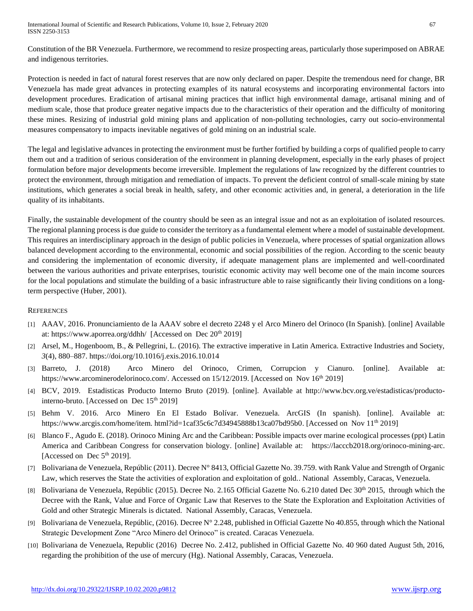Constitution of the BR Venezuela. Furthermore, we recommend to resize prospecting areas, particularly those superimposed on ABRAE and indigenous territories.

Protection is needed in fact of natural forest reserves that are now only declared on paper. Despite the tremendous need for change, BR Venezuela has made great advances in protecting examples of its natural ecosystems and incorporating environmental factors into development procedures. Eradication of artisanal mining practices that inflict high environmental damage, artisanal mining and of medium scale, those that produce greater negative impacts due to the characteristics of their operation and the difficulty of monitoring these mines. Resizing of industrial gold mining plans and application of non-polluting technologies, carry out socio-environmental measures compensatory to impacts inevitable negatives of gold mining on an industrial scale.

The legal and legislative advances in protecting the environment must be further fortified by building a corps of qualified people to carry them out and a tradition of serious consideration of the environment in planning development, especially in the early phases of project formulation before major developments become irreversible. Implement the regulations of law recognized by the different countries to protect the environment, through mitigation and remediation of impacts. To prevent the deficient control of small-scale mining by state institutions, which generates a social break in health, safety, and other economic activities and, in general, a deterioration in the life quality of its inhabitants.

Finally, the sustainable development of the country should be seen as an integral issue and not as an exploitation of isolated resources. The regional planning process is due guide to consider the territory as a fundamental element where a model of sustainable development. This requires an interdisciplinary approach in the design of public policies in Venezuela, where processes of spatial organization allows balanced development according to the environmental, economic and social possibilities of the region. According to the scenic beauty and considering the implementation of economic diversity, if adequate management plans are implemented and well-coordinated between the various authorities and private enterprises, touristic economic activity may well become one of the main income sources for the local populations and stimulate the building of a basic infrastructure able to raise significantly their living conditions on a longterm perspective (Huber, 2001).

## **REFERENCES**

- [1] AAAV, 2016. Pronunciamiento de la AAAV sobre el decreto 2248 y el Arco Minero del Orinoco (In Spanish). [online] Available at:<https://www.aporrea.org/ddhh/>[Accessed on Dec 20<sup>th</sup> 2019]
- [2] Arsel, M., Hogenboom, B., & Pellegrini, L. (2016). The extractive imperative in Latin America. Extractive Industries and Society, *3*(4), 880–887. https://doi.org/10.1016/j.exis.2016.10.014
- [3] Barreto, J. (2018) Arco Minero del Orinoco, Crimen, Corrupcion y Cianuro. [online]. Available at: [https://www.arcominerodelorinoco.com/.](https://www.arcominerodelorinoco.com/) Accessed on 15/12/2019. [Accessed on Nov 16<sup>th</sup> 2019]
- [4] BCV, 2019. Estadisticas Producto Interno Bruto (2019). [online]. Available at [http://www.bcv.org.ve/estadisticas/producto](http://www.bcv.org.ve/estadisticas/producto-interno-bruto)[interno-bruto.](http://www.bcv.org.ve/estadisticas/producto-interno-bruto) [Accessed on Dec  $15<sup>th</sup> 2019$ ]
- [5] Behm V. 2016. Arco Minero En El Estado Bolívar. Venezuela. ArcGIS (In spanish). [online]. Available at: https://www.arcgis.com/home/item. html?id=1caf35c6c7d34945888b13ca07bd95b0. [Accessed on Nov 11<sup>th</sup> 2019]
- [6] Blanco F., Agudo E. (2018). Orinoco Mining Arc and the Caribbean: Possible impacts over marine ecological processes (ppt) Latin America and Caribbean Congress for conservation biology. [online] Available at: [https://lacccb2018.org/orinoco-mining-arc.](https://lacccb2018.org/orinoco-mining-arc) [Accessed on Dec 5<sup>th</sup> 2019].
- [7] Bolivariana de Venezuela, Repúblic (2011). Decree N° 8413, Official Gazette No. 39.759. with Rank Value and Strength of Organic Law, which reserves the State the activities of exploration and exploitation of gold.. National Assembly, Caracas, Venezuela.
- [8] Bolivariana de Venezuela, Repúblic (2015). Decree No. 2.165 Official Gazette No. 6.210 dated Dec  $30<sup>th</sup>$  2015, through which the Decree with the Rank, Value and Force of Organic Law that Reserves to the State the Exploration and Exploitation Activities of Gold and other Strategic Minerals is dictated. National Assembly, Caracas, Venezuela.
- [9] Bolivariana de Venezuela, Repúblic, (2016). Decree  $N^{\circ}$  2.248, published in Official Gazette No 40.855, through which the National Strategic Development Zone "Arco Minero del Orinoco" is created. Caracas Venezuela.
- [10] Bolivariana de Venezuela, Republic (2016) Decree No. 2.412, published in Official Gazette No. 40 960 dated August 5th, 2016, regarding the prohibition of the use of mercury (Hg). National Assembly, Caracas, Venezuela.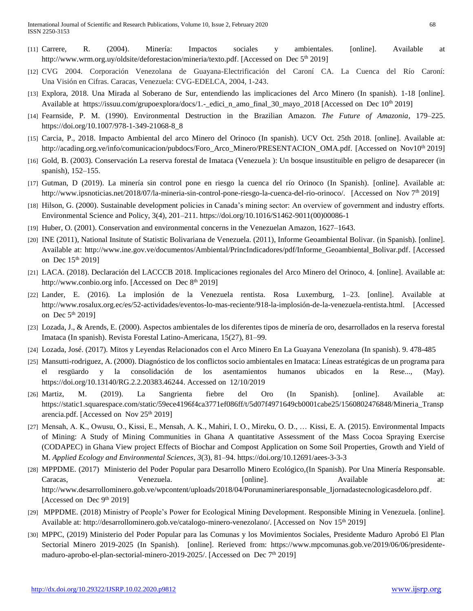- [11] Carrere, R. (2004). Minería: Impactos sociales y ambientales. [online]. Available at [http://www.wrm.org.uy/oldsite/deforestacion/mineria/texto.pdf.](http://www.wrm.org.uy/oldsite/deforestacion/mineria/texto.pdf) [Accessed on Dec 5<sup>th</sup> 2019]
- [12] CVG 2004. Corporación Venezolana de Guayana-Electrificación del Caroní CA. La Cuenca del Río Caroní: Una Visión en Cifras. Caracas, Venezuela: CVG-EDELCA, 2004, 1-243.
- [13] Explora, 2018. Una Mirada al Soberano de Sur, entendiendo las implicaciones del Arco Minero (In spanish). 1-18 [online]. Available at https://issuu.com/grupoexplora/docs/1.- edici\_n\_amo\_final\_30\_mayo\_2018 [Accessed on Dec 10<sup>th</sup> 2019]
- [14] Fearnside, P. M. (1990). Environmental Destruction in the Brazilian Amazon. *The Future of Amazonia*, 179–225. https://doi.org/10.1007/978-1-349-21068-8\_8
- [15] Carcia, P., 2018. Impacto Ambiental del arco Minero del Orinoco (In spanish). UCV Oct. 25th 2018. [online]. Available at: [http://acading.org.ve/info/comunicacion/pubdocs/Foro\\_Arco\\_Minero/PRESENTACION\\_OMA.pdf.](http://acading.org.ve/info/comunicacion/pubdocs/Foro_Arco_Minero/PRESENTACION_AMO.pdf) [Accessed on Nov10<sup>th 2019]</sup>
- [16] Gold, B. (2003). Conservación La reserva forestal de Imataca (Venezuela ): Un bosque insustituible en peligro de desaparecer (in spanish), 152–155.
- [17] Gutman, D (2019). La minería sin control pone en riesgo la cuenca del río Orinoco (In Spanish). [online]. Available at: [http://www.ipsnoticias.net/2018/07/la-mineria-sin-control-pone-riesgo-la-cuenca-del-rio-orinoco/.](http://www.ipsnoticias.net/2018/07/la-mineria-sin-control-pone-riesgo-la-cuenca-del-rio-orinoco/) [Accessed on Nov 7<sup>th</sup> 2019]
- [18] Hilson, G. (2000). Sustainable development policies in Canada's mining sector: An overview of government and industry efforts. Environmental Science and Policy, 3(4), 201–211. https://doi.org/10.1016/S1462-9011(00)00086-1
- [19] Huber, O. (2001). Conservation and environmental concerns in the Venezuelan Amazon, 1627–1643.
- [20] INE (2011), National Insitute of Statistic Bolivariana de Venezuela. (2011), Informe Geoambiental Bolivar. (in Spanish). [online]. Available at: [http://www.ine.gov.ve/documentos/Ambiental/PrincIndicadores/pdf/Informe\\_Geoambiental\\_Bolivar.pdf.](http://www.ine.gov.ve/documentos/Ambiental/PrincIndicadores/pdf/Informe_Geoambiental_Bolivar.pdf) [Accessed on Dec 15<sup>th</sup> 2019]
- [21] LACA. (2018). Declaración del LACCCB 2018. Implicaciones regionales del Arco Minero del Orinoco, 4. [online]. Available at: http://www.conbio.org info. [Accessed on Dec  $8<sup>th</sup> 2019$ ]
- [22] Lander, E. (2016). La implosión de la Venezuela rentista. Rosa Luxemburg, 1–23. [online]. Available at http://www.rosalux.org.ec/es/52-actividades/eventos-lo-mas-reciente/918-la-implosión-de-la-venezuela-rentista.html. [Accessed on Dec  $5<sup>th</sup> 2019$ ]
- [23] Lozada, J., & Arends, E. (2000). Aspectos ambientales de los diferentes tipos de minería de oro, desarrollados en la reserva forestal Imataca (In spanish). Revista Forestal Latino-Americana, 15(27), 81–99.
- [24] Lozada, José. (2017). Mitos y Leyendas Relacionados con el Arco Minero En La Guayana Venezolana (In spanish). 9. 478-485
- [25] Mansutti-rodriguez, A. (2000). Diagnóstico de los conflictos socio ambientales en Imataca: Líneas estratégicas de un programa para el resgüardo y la consolidación de los asentamientos humanos ubicados en la Rese..., (May). [https://doi.org/10.13140/RG.2.2.20383.46244.](https://doi.org/10.13140/RG.2.2.20383.46244) Accessed on 12/10/2019
- [26] Martiz, M. (2019). La Sangrienta fiebre del Oro (In Spanish). [online]. Available at: [https://static1.squarespace.com/static/59ece4196f4ca3771ef086ff/t/5d07f4971649cb0001cabe25/1560802476848/Mineria\\_Transp](https://static1.squarespace.com/static/59ece4196f4ca3771ef086ff/t/5d07f4971649cb0001cabe25/1560802476848/Mineria_Transparencia.pdf) [arencia.pdf.](https://static1.squarespace.com/static/59ece4196f4ca3771ef086ff/t/5d07f4971649cb0001cabe25/1560802476848/Mineria_Transparencia.pdf) [Accessed on Nov  $25<sup>th</sup> 2019$ ]
- [27] Mensah, A. K., Owusu, O., Kissi, E., Mensah, A. K., Mahiri, I. O., Mireku, O. D., … Kissi, E. A. (2015). Environmental Impacts of Mining: A Study of Mining Communities in Ghana A quantitative Assessment of the Mass Cocoa Spraying Exercise (CODAPEC) in Ghana View project Effects of Biochar and Compost Application on Some Soil Properties, Growth and Yield of M. *Applied Ecology and Environmental Sciences*, *3*(3), 81–94. https://doi.org/10.12691/aees-3-3-3
- [28] MPPDME. (2017) Ministerio del Poder Popular para Desarrollo Minero Ecológico,(In Spanish). Por Una Minería Responsable. Caracas, Caracas, Caracas, Venezuela. [online]. Available at: [http://www.desarrollominero.gob.ve/wpcontent/uploads/2018/04/Porunamineriaresponsable\\_Ijornadastecnologicasdeloro.pdf.](http://www.desarrollominero.gob.ve/wpcontent/uploads/2018/04/Porunamineriaresponsable_Ijornadastecnologicasdeloro.pdf) [Accessed on Dec 9<sup>th</sup> 2019]
- [29] MPPDME. (2018) Ministry of People's Power for Ecological Mining Development. Responsible Mining in Venezuela. [online]. Available at: [http://desarrollominero.gob.ve/catalogo-minero-venezolano/.](http://desarrollominero.gob.ve/catalogo-minero-venezolano/) [Accessed on Nov 15<sup>th</sup> 2019]
- [30] MPPC, (2019) Ministerio del Poder Popular para las Comunas y los Movimientos Sociales, Presidente Maduro Aprobó El Plan Sectorial Minero 2019-2025 (In Spanish). [online]. Rerieved from: [https://www.mpcomunas.gob.ve/2019/06/06/presidente](https://www.mpcomunas.gob.ve/2019/06/06/presidente-maduro-aprobo-el-plan-sectorial-minero-2019-2025/)[maduro-aprobo-el-plan-sectorial-minero-2019-2025/.](https://www.mpcomunas.gob.ve/2019/06/06/presidente-maduro-aprobo-el-plan-sectorial-minero-2019-2025/) [Accessed on Dec 7<sup>th</sup> 2019]